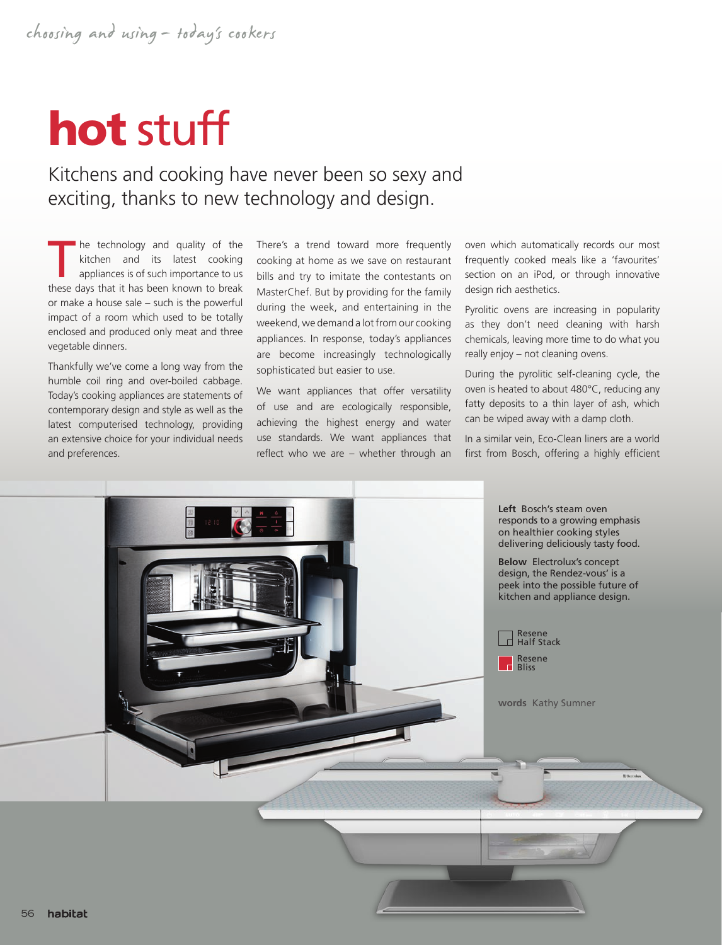## hot stuff

## Kitchens and cooking have never been so sexy and exciting, thanks to new technology and design.

The technology and quality of the kitchen and its latest cooking<br>appliances is of such importance to us<br>these days that it has been known to broak kitchen and its latest cooking these days that it has been known to break or make a house sale – such is the powerful impact of a room which used to be totally enclosed and produced only meat and three vegetable dinners.

Thankfully we've come a long way from the humble coil ring and over-boiled cabbage. Today's cooking appliances are statements of contemporary design and style as well as the latest computerised technology, providing an extensive choice for your individual needs and preferences.

There's a trend toward more frequently cooking at home as we save on restaurant bills and try to imitate the contestants on MasterChef. But by providing for the family during the week, and entertaining in the weekend, we demand a lot from our cooking appliances. In response, today's appliances are become increasingly technologically sophisticated but easier to use.

We want appliances that offer versatility of use and are ecologically responsible, achieving the highest energy and water use standards. We want appliances that reflect who we are – whether through an oven which automatically records our most frequently cooked meals like a 'favourites' section on an iPod, or through innovative design rich aesthetics.

Pyrolitic ovens are increasing in popularity as they don't need cleaning with harsh chemicals, leaving more time to do what you really enjoy – not cleaning ovens.

During the pyrolitic self-cleaning cycle, the oven is heated to about 480°C, reducing any fatty deposits to a thin layer of ash, which can be wiped away with a damp cloth.

In a similar vein, Eco-Clean liners are a world first from Bosch, offering a highly efficient